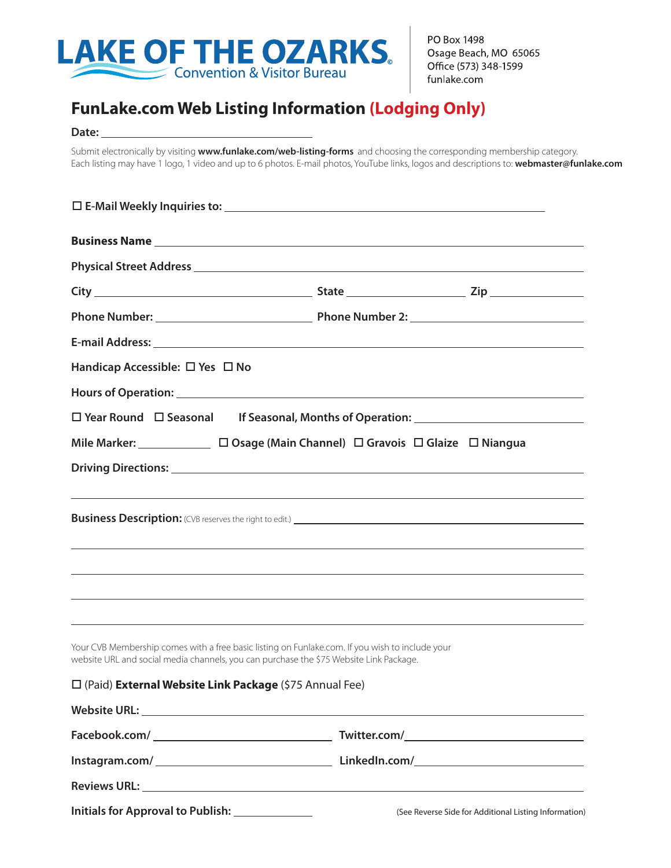

PO Box 1498 Osage Beach, MO 65065 Office (573) 348-1599 funlake.com

## **FunLake.com Web Listing Information (Lodging Only)**

## Date:

Submit electronically by visiting **www.funlake.com/web-listing-forms** and choosing the corresponding membership category. Each listing may have 1 logo, 1 video and up to 6 photos. E-mail photos, YouTube links, logos and descriptions to: **webmaster@funlake.com**

| <b>Business Name</b>                                                                                                                                                                      |  |
|-------------------------------------------------------------------------------------------------------------------------------------------------------------------------------------------|--|
|                                                                                                                                                                                           |  |
|                                                                                                                                                                                           |  |
|                                                                                                                                                                                           |  |
|                                                                                                                                                                                           |  |
| Handicap Accessible: $\Box$ Yes $\Box$ No                                                                                                                                                 |  |
|                                                                                                                                                                                           |  |
| □ Year Round □ Seasonal If Seasonal, Months of Operation: ______________________                                                                                                          |  |
| Mile Marker: □ □ Osage (Main Channel) □ Gravois □ Glaize □ Niangua                                                                                                                        |  |
|                                                                                                                                                                                           |  |
|                                                                                                                                                                                           |  |
|                                                                                                                                                                                           |  |
|                                                                                                                                                                                           |  |
| ,我们也不能在这里的时候,我们也不能在这里的时候,我们也不能不能不能不能不能不能不能不能不能不能不能不能不能不能不能。<br>第2012章 我们的时候,我们的时候,我们的时候,我们的时候,我们的时候,我们的时候,我们的时候,我们的时候,我们的时候,我们的时候,我们的时候,我们的时候,我                                           |  |
| <u> 1999 - Jan Barbara, martxa al II-lea (h. 1989).</u>                                                                                                                                   |  |
| ,我们也不能在这里的时候,我们也不能在这里的时候,我们也不能会在这里的时候,我们也不能会在这里的时候,我们也不能会在这里的时候,我们也不能会在这里的时候,我们也                                                                                                          |  |
| Your CVB Membership comes with a free basic listing on Funlake.com. If you wish to include your<br>website URL and social media channels, you can purchase the \$75 Website Link Package. |  |
| □ (Paid) External Website Link Package (\$75 Annual Fee)                                                                                                                                  |  |
|                                                                                                                                                                                           |  |
|                                                                                                                                                                                           |  |
|                                                                                                                                                                                           |  |
| <b>Reviews URL:</b>                                                                                                                                                                       |  |

**Initials for Approval to Publish:** (See Reverse Side for Additional Listing Information)